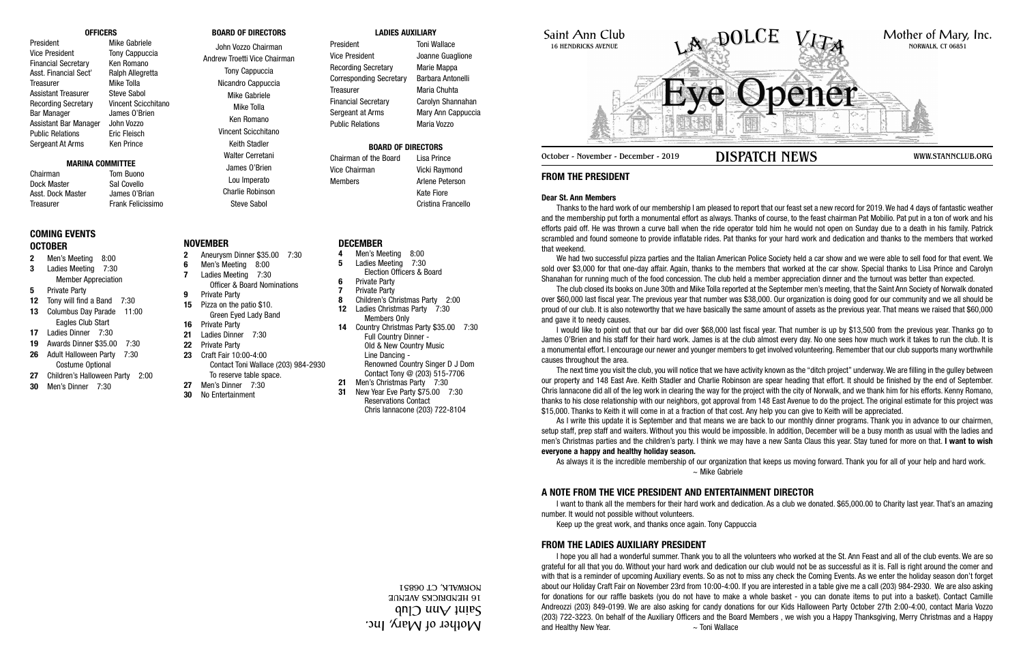Saint Ann Club 16 HENDRICKS AVENUE

**FROM THE PRESIDENT**

# **Dear St. Ann Members**

Thanks to the hard work of our membership I am pleased to report that our feast set a new record for 2019. We had 4 days of fantastic weather and the membership put forth a monumental effort as always. Thanks of course, to the feast chairman Pat Mobilio. Pat put in a ton of work and his efforts paid off. He was thrown a curve ball when the ride operator told him he would not open on Sunday due to a death in his family. Patrick scrambled and found someone to provide inflatable rides. Pat thanks for your hard work and dedication and thanks to the members that worked that weekend.

We had two successful pizza parties and the Italian American Police Society held a car show and we were able to sell food for that event. We sold over \$3,000 for that one-day affair. Again, thanks to the members that worked at the car show. Special thanks to Lisa Prince and Carolyn Shanahan for running much of the food concession. The club held a member appreciation dinner and the turnout was better than expected.

The club closed its books on June 30th and Mike Tolla reported at the September men's meeting, that the Saint Ann Society of Norwalk donated over \$60,000 last fiscal year. The previous year that number was \$38,000. Our organization is doing good for our community and we all should be proud of our club. It is also noteworthy that we have basically the same amount of assets as the previous year. That means we raised that \$60,000 and gave it to needy causes.

I would like to point out that our bar did over \$68,000 last fiscal year. That number is up by \$13,500 from the previous year. Thanks go to James O'Brien and his staff for their hard work. James is at the club almost every day. No one sees how much work it takes to run the club. It is a monumental effort. I encourage our newer and younger members to get involved volunteering. Remember that our club supports many worthwhile causes throughout the area.

I hope you all had a wonderful summer. Thank you to all the volunteers who worked at the St. Ann Feast and all of the club events. We are so grateful for all that you do. Without your hard work and dedication our club would not be as successful as it is. Fall is right around the comer and with that is a reminder of upcoming Auxiliary events. So as not to miss any check the Coming Events. As we enter the holiday season don't forget about our Holiday Craft Fair on November 23rd from 10:00-4:00. If you are interested in a table give me a call (203) 984-2930. We are also asking for donations for our raffle baskets (you do not have to make a whole basket - you can donate items to put into a basket). Contact Camille Andreozzi (203) 849-0199. We are also asking for candy donations for our Kids Halloween Party October 27th 2:00-4:00, contact Maria Vozzo (203) 722-3223. On behalf of the Auxiliary Officers and the Board Members , we wish you a Happy Thanksgiving, Merry Christmas and a Happy and Healthy New Year. The Controller was a Toni Wallace

The next time you visit the club, you will notice that we have activity known as the "ditch project" underway. We are filling in the gulley between our property and 148 East Ave. Keith Stadler and Charlie Robinson are spear heading that effort. It should be finished by the end of September. Chris lannacone did all of the leg work in clearing the way for the project with the city of Norwalk, and we thank him for his efforts. Kenny Romano, thanks to his close relationship with our neighbors, got approval from 148 East Avenue to do the project. The original estimate for this project was \$15,000. Thanks to Keith it will come in at a fraction of that cost. Any help you can give to Keith will be appreciated.

Chairman Tom Buono Dock Master Sal Covello Asst. Dock Master James 0'Brian Treasurer Frank Felicissimo Vice Chairman Vicki Raymond Members **Arlene** Peterson

> As I write this update it is September and that means we are back to our monthly dinner programs. Thank you in advance to our chairmen, setup staff, prep staff and waiters. Without you this would be impossible. In addition, December will be a busy month as usual with the ladies and men's Christmas parties and the children's party. I think we may have a new Santa Claus this year. Stay tuned for more on that. **I want to wish everyone a happy and healthy holiday season.**

As always it is the incredible membership of our organization that keeps us moving forward. Thank you for all of your help and hard work. ~ Mike Gabriele

## **A NOTE FROM THE VICE PRESIDENT AND ENTERTAINMENT DIRECTOR**

I want to thank all the members for their hard work and dedication. As a club we donated. \$65,000.00 to Charity last year. That's an amazing number. It would not possible without volunteers.



Keep up the great work, and thanks once again. Tony Cappuccia

## **FROM THE LADIES AUXILIARY PRESIDENT**

#### **OFFICERS**

President Mike Gabriele Vice President Tony Cappuccia Financial Secretary Ken Romano Asst. Financial Sect' Ralph Allegretta Treasurer Mike Tolla Assistant Treasurer Steve Sabol Recording Secretary Vincent Scicchitano Bar Manager James O'Brien Assistant Bar Manager John Vozzo Public Relations **Eric Fleisch** Sergeant At Arms Ken Prince

#### **MARINA COMMITTEE**

## **BOARD OF DIRECTORS**

John Vozzo Chairman Andrew Troetti Vice Chairman Tony Cappuccia Nicandro Cappuccia Mike Gabriele Mike Tolla Ken Romano Vincent Scicchitano Keith Stadler Walter Cerretani

James O'Brien Lou Imperato Charlie Robinson Steve Sabol

#### **LADIES AUXILIARY**

President Toni Wallace Vice President Joanne Guaglione Recording Secretary Marie Mappa Corresponding Secretary Barbara Antonelli Treasurer Maria Chuhta Financial Secretary Carolyn Shannahan Sergeant at Arms Mary Ann Cappuccia Public Relations Maria Vozzo

## **BOARD OF DIRECTORS**

Chairman of the Board Lisa Prince Kate Fiore Cristina Francello

## **COMING EVENTS OCTOBER**

- **2** Men's Meeting 8:00
- **3** Ladies Meeting 7:30 Member Appreciation
- **5** Private Party
- **12** Tony will find a Band 7:30 **13** Columbus Day Parade 11:00
- Eagles Club Start
- **17** Ladies Dinner 7:30
- **19** Awards Dinner \$35.00 7:30 **26** Adult Halloween Party 7:30 Costume Optional
- **27** Children's Halloween Party 2:00
- **30** Men's Dinner 7:30

## **NOVEMBER**

- **2** Aneurysm Dinner \$35.00 7:30
- **6** Men's Meeting 8:00
- **7** Ladies Meeting 7:30
- Officer & Board Nominations
- **9** Private Party **15** Pizza on the patio \$10. Green Eyed Lady Band
- **16** Private Party
- **21** Ladies Dinner 7:30
- **22** Private Party
- **23** Craft Fair 10:00-4:00 Contact Toni Wallace (203) 984-2930 To reserve table space.
- **27** Men's Dinner 7:30
- **30** No Entertainment

## **DECEMBER**

- **4** Men's Meeting 8:00
- **5** Ladies Meeting 7:30 Election Officers & Board
- **6** Private Party
- **7** Private Party
- **8** Children's Christmas Party 2:00
- **12** Ladies Christmas Party 7:30 Members Only
- **14** Country Christmas Party \$35.00 7:30 Full Country Dinner - Old & New Country Music Line Dancing - Renowned Country Singer D J Dom Contact Tony @ (203) 515-7706
- **21** Men's Christmas Party 7:30
- **31** New Year Eve Party \$75.00 7:30 Reservations Contact Chris Iannacone (203) 722-8104

Mother of Mary, Inc.  $\mathfrak{q}$ n $\mathfrak{q}$  uu $\mathfrak{q}$  uu $\mathfrak{q}$  uues 16 HENDRICKS AVENUE NORWALK, CT 06851



October - November - December - 2019 DISPATCH NEWS WWW.STANNCLUB.ORG